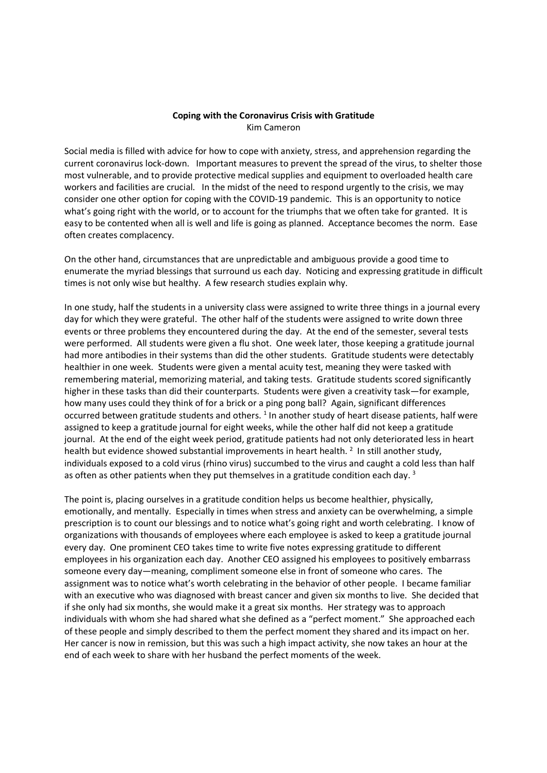## Coping with the Coronavirus Crisis with Gratitude Kim Cameron

Social media is filled with advice for how to cope with anxiety, stress, and apprehension regarding the current coronavirus lock-down. Important measures to prevent the spread of the virus, to shelter those most vulnerable, and to provide protective medical supplies and equipment to overloaded health care workers and facilities are crucial. In the midst of the need to respond urgently to the crisis, we may consider one other option for coping with the COVID-19 pandemic. This is an opportunity to notice what's going right with the world, or to account for the triumphs that we often take for granted. It is easy to be contented when all is well and life is going as planned. Acceptance becomes the norm. Ease often creates complacency.

On the other hand, circumstances that are unpredictable and ambiguous provide a good time to enumerate the myriad blessings that surround us each day. Noticing and expressing gratitude in difficult times is not only wise but healthy. A few research studies explain why.

In one study, half the students in a university class were assigned to write three things in a journal every day for which they were grateful. The other half of the students were assigned to write down three events or three problems they encountered during the day. At the end of the semester, several tests were performed. All students were given a flu shot. One week later, those keeping a gratitude journal had more antibodies in their systems than did the other students. Gratitude students were detectably healthier in one week. Students were given a mental acuity test, meaning they were tasked with remembering material, memorizing material, and taking tests. Gratitude students scored significantly higher in these tasks than did their counterparts. Students were given a creativity task—for example, how many uses could they think of for a brick or a ping pong ball? Again, significant differences occurred between gratitude students and others. <sup>1</sup> In another study of heart disease patients, half were assigned to keep a gratitude journal for eight weeks, while the other half did not keep a gratitude journal. At the end of the eight week period, gratitude patients had not only deteriorated less in heart health but evidence showed substantial improvements in heart health.  $2$  In still another study, individuals exposed to a cold virus (rhino virus) succumbed to the virus and caught a cold less than half as often as other patients when they put themselves in a gratitude condition each day.  $^3$ 

The point is, placing ourselves in a gratitude condition helps us become healthier, physically, emotionally, and mentally. Especially in times when stress and anxiety can be overwhelming, a simple prescription is to count our blessings and to notice what's going right and worth celebrating. I know of organizations with thousands of employees where each employee is asked to keep a gratitude journal every day. One prominent CEO takes time to write five notes expressing gratitude to different employees in his organization each day. Another CEO assigned his employees to positively embarrass someone every day—meaning, compliment someone else in front of someone who cares. The assignment was to notice what's worth celebrating in the behavior of other people. I became familiar with an executive who was diagnosed with breast cancer and given six months to live. She decided that if she only had six months, she would make it a great six months. Her strategy was to approach individuals with whom she had shared what she defined as a "perfect moment." She approached each of these people and simply described to them the perfect moment they shared and its impact on her. Her cancer is now in remission, but this was such a high impact activity, she now takes an hour at the end of each week to share with her husband the perfect moments of the week.